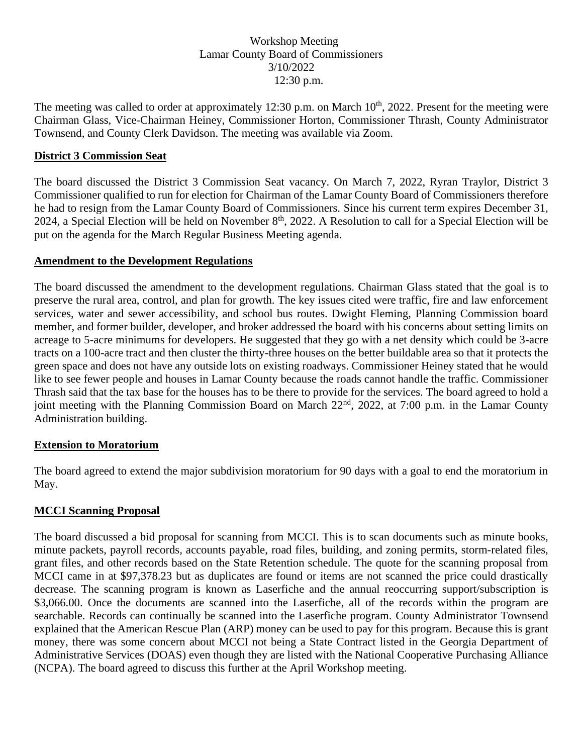### Workshop Meeting Lamar County Board of Commissioners 3/10/2022 12:30 p.m.

The meeting was called to order at approximately 12:30 p.m. on March 10<sup>th</sup>, 2022. Present for the meeting were Chairman Glass, Vice-Chairman Heiney, Commissioner Horton, Commissioner Thrash, County Administrator Townsend, and County Clerk Davidson. The meeting was available via Zoom.

### **District 3 Commission Seat**

The board discussed the District 3 Commission Seat vacancy. On March 7, 2022, Ryran Traylor, District 3 Commissioner qualified to run for election for Chairman of the Lamar County Board of Commissioners therefore he had to resign from the Lamar County Board of Commissioners. Since his current term expires December 31, 2024, a Special Election will be held on November  $8<sup>th</sup>$ , 2022. A Resolution to call for a Special Election will be put on the agenda for the March Regular Business Meeting agenda.

#### **Amendment to the Development Regulations**

The board discussed the amendment to the development regulations. Chairman Glass stated that the goal is to preserve the rural area, control, and plan for growth. The key issues cited were traffic, fire and law enforcement services, water and sewer accessibility, and school bus routes. Dwight Fleming, Planning Commission board member, and former builder, developer, and broker addressed the board with his concerns about setting limits on acreage to 5-acre minimums for developers. He suggested that they go with a net density which could be 3-acre tracts on a 100-acre tract and then cluster the thirty-three houses on the better buildable area so that it protects the green space and does not have any outside lots on existing roadways. Commissioner Heiney stated that he would like to see fewer people and houses in Lamar County because the roads cannot handle the traffic. Commissioner Thrash said that the tax base for the houses has to be there to provide for the services. The board agreed to hold a joint meeting with the Planning Commission Board on March 22<sup>nd</sup>, 2022, at 7:00 p.m. in the Lamar County Administration building.

#### **Extension to Moratorium**

The board agreed to extend the major subdivision moratorium for 90 days with a goal to end the moratorium in May.

#### **MCCI Scanning Proposal**

The board discussed a bid proposal for scanning from MCCI. This is to scan documents such as minute books, minute packets, payroll records, accounts payable, road files, building, and zoning permits, storm-related files, grant files, and other records based on the State Retention schedule. The quote for the scanning proposal from MCCI came in at \$97,378.23 but as duplicates are found or items are not scanned the price could drastically decrease. The scanning program is known as Laserfiche and the annual reoccurring support/subscription is \$3,066.00. Once the documents are scanned into the Laserfiche, all of the records within the program are searchable. Records can continually be scanned into the Laserfiche program. County Administrator Townsend explained that the American Rescue Plan (ARP) money can be used to pay for this program. Because this is grant money, there was some concern about MCCI not being a State Contract listed in the Georgia Department of Administrative Services (DOAS) even though they are listed with the National Cooperative Purchasing Alliance (NCPA). The board agreed to discuss this further at the April Workshop meeting.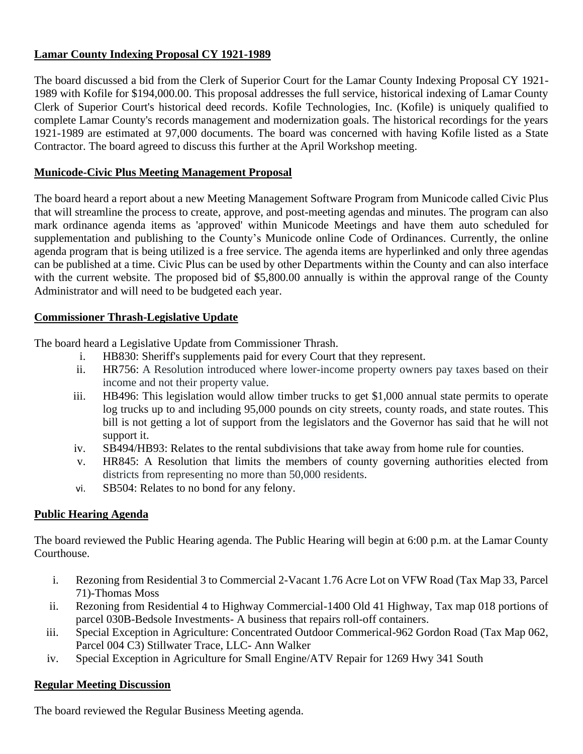## **Lamar County Indexing Proposal CY 1921-1989**

The board discussed a bid from the Clerk of Superior Court for the Lamar County Indexing Proposal CY 1921- 1989 with Kofile for \$194,000.00. This proposal addresses the full service, historical indexing of Lamar County Clerk of Superior Court's historical deed records. Kofile Technologies, Inc. (Kofile) is uniquely qualified to complete Lamar County's records management and modernization goals. The historical recordings for the years 1921-1989 are estimated at 97,000 documents. The board was concerned with having Kofile listed as a State Contractor. The board agreed to discuss this further at the April Workshop meeting.

## **Municode-Civic Plus Meeting Management Proposal**

The board heard a report about a new Meeting Management Software Program from Municode called Civic Plus that will streamline the process to create, approve, and post-meeting agendas and minutes. The program can also mark ordinance agenda items as 'approved' within Municode Meetings and have them auto scheduled for supplementation and publishing to the County's Municode online Code of Ordinances. Currently, the online agenda program that is being utilized is a free service. The agenda items are hyperlinked and only three agendas can be published at a time. Civic Plus can be used by other Departments within the County and can also interface with the current website. The proposed bid of \$5,800.00 annually is within the approval range of the County Administrator and will need to be budgeted each year.

## **Commissioner Thrash-Legislative Update**

The board heard a Legislative Update from Commissioner Thrash.

- i. HB830: Sheriff's supplements paid for every Court that they represent.
- ii. HR756: A Resolution introduced where lower-income property owners pay taxes based on their income and not their property value.
- iii. HB496: This legislation would allow timber trucks to get \$1,000 annual state permits to operate log trucks up to and including 95,000 pounds on city streets, county roads, and state routes. This bill is not getting a lot of support from the legislators and the Governor has said that he will not support it.
- iv. SB494/HB93: Relates to the rental subdivisions that take away from home rule for counties.
- v. HR845: A Resolution that limits the members of county governing authorities elected from districts from representing no more than 50,000 residents.
- vi. SB504: Relates to no bond for any felony.

# **Public Hearing Agenda**

The board reviewed the Public Hearing agenda. The Public Hearing will begin at 6:00 p.m. at the Lamar County Courthouse.

- i. Rezoning from Residential 3 to Commercial 2-Vacant 1.76 Acre Lot on VFW Road (Tax Map 33, Parcel 71)-Thomas Moss
- ii. Rezoning from Residential 4 to Highway Commercial-1400 Old 41 Highway, Tax map 018 portions of parcel 030B-Bedsole Investments- A business that repairs roll-off containers.
- iii. Special Exception in Agriculture: Concentrated Outdoor Commerical-962 Gordon Road (Tax Map 062, Parcel 004 C3) Stillwater Trace, LLC- Ann Walker
- iv. Special Exception in Agriculture for Small Engine/ATV Repair for 1269 Hwy 341 South

# **Regular Meeting Discussion**

The board reviewed the Regular Business Meeting agenda.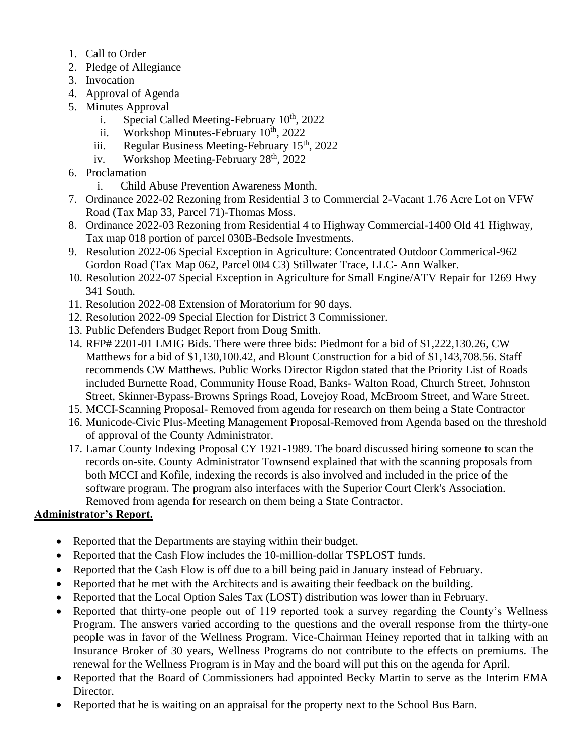- 1. Call to Order
- 2. Pledge of Allegiance
- 3. Invocation
- 4. Approval of Agenda
- 5. Minutes Approval
	- i. Special Called Meeting-February  $10^{th}$ , 2022
	- ii. Workshop Minutes-February  $10^{th}$ , 2022
	- iii. Regular Business Meeting-February  $15<sup>th</sup>$ , 2022
	- iv. Workshop Meeting-February 28<sup>th</sup>, 2022
- 6. Proclamation
	- i. Child Abuse Prevention Awareness Month.
- 7. Ordinance 2022-02 Rezoning from Residential 3 to Commercial 2-Vacant 1.76 Acre Lot on VFW Road (Tax Map 33, Parcel 71)-Thomas Moss.
- 8. Ordinance 2022-03 Rezoning from Residential 4 to Highway Commercial-1400 Old 41 Highway, Tax map 018 portion of parcel 030B-Bedsole Investments.
- 9. Resolution 2022-06 Special Exception in Agriculture: Concentrated Outdoor Commerical-962 Gordon Road (Tax Map 062, Parcel 004 C3) Stillwater Trace, LLC- Ann Walker.
- 10. Resolution 2022-07 Special Exception in Agriculture for Small Engine/ATV Repair for 1269 Hwy 341 South.
- 11. Resolution 2022-08 Extension of Moratorium for 90 days.
- 12. Resolution 2022-09 Special Election for District 3 Commissioner.
- 13. Public Defenders Budget Report from Doug Smith.
- 14. RFP# 2201-01 LMIG Bids. There were three bids: Piedmont for a bid of \$1,222,130.26, CW Matthews for a bid of \$1,130,100.42, and Blount Construction for a bid of \$1,143,708.56. Staff recommends CW Matthews. Public Works Director Rigdon stated that the Priority List of Roads included Burnette Road, Community House Road, Banks- Walton Road, Church Street, Johnston Street, Skinner-Bypass-Browns Springs Road, Lovejoy Road, McBroom Street, and Ware Street.
- 15. MCCI-Scanning Proposal- Removed from agenda for research on them being a State Contractor
- 16. Municode-Civic Plus-Meeting Management Proposal-Removed from Agenda based on the threshold of approval of the County Administrator.
- 17. Lamar County Indexing Proposal CY 1921-1989. The board discussed hiring someone to scan the records on-site. County Administrator Townsend explained that with the scanning proposals from both MCCI and Kofile, indexing the records is also involved and included in the price of the software program. The program also interfaces with the Superior Court Clerk's Association. Removed from agenda for research on them being a State Contractor.

# **Administrator's Report.**

- Reported that the Departments are staying within their budget.
- Reported that the Cash Flow includes the 10-million-dollar TSPLOST funds.
- Reported that the Cash Flow is off due to a bill being paid in January instead of February.
- Reported that he met with the Architects and is awaiting their feedback on the building.
- Reported that the Local Option Sales Tax (LOST) distribution was lower than in February.
- Reported that thirty-one people out of 119 reported took a survey regarding the County's Wellness Program. The answers varied according to the questions and the overall response from the thirty-one people was in favor of the Wellness Program. Vice-Chairman Heiney reported that in talking with an Insurance Broker of 30 years, Wellness Programs do not contribute to the effects on premiums. The renewal for the Wellness Program is in May and the board will put this on the agenda for April.
- Reported that the Board of Commissioners had appointed Becky Martin to serve as the Interim EMA Director.
- Reported that he is waiting on an appraisal for the property next to the School Bus Barn.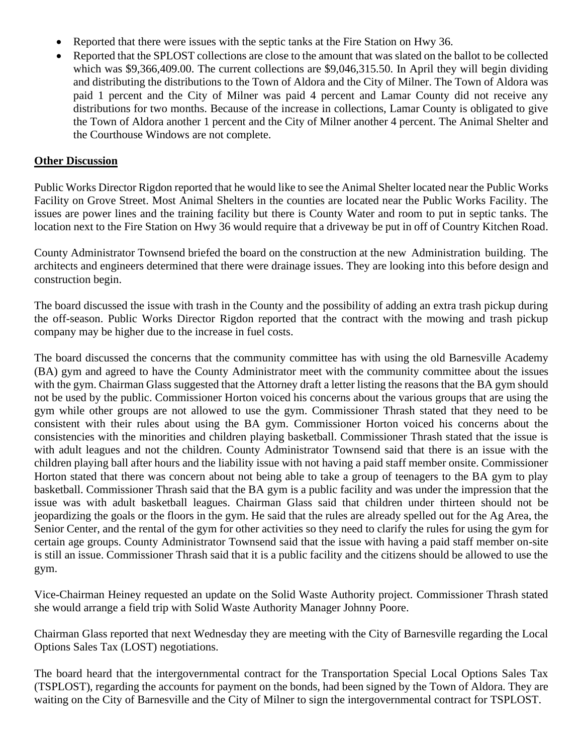- Reported that there were issues with the septic tanks at the Fire Station on Hwy 36.
- Reported that the SPLOST collections are close to the amount that was slated on the ballot to be collected which was \$9,366,409.00. The current collections are \$9,046,315.50. In April they will begin dividing and distributing the distributions to the Town of Aldora and the City of Milner. The Town of Aldora was paid 1 percent and the City of Milner was paid 4 percent and Lamar County did not receive any distributions for two months. Because of the increase in collections, Lamar County is obligated to give the Town of Aldora another 1 percent and the City of Milner another 4 percent. The Animal Shelter and the Courthouse Windows are not complete.

#### **Other Discussion**

Public Works Director Rigdon reported that he would like to see the Animal Shelter located near the Public Works Facility on Grove Street. Most Animal Shelters in the counties are located near the Public Works Facility. The issues are power lines and the training facility but there is County Water and room to put in septic tanks. The location next to the Fire Station on Hwy 36 would require that a driveway be put in off of Country Kitchen Road.

County Administrator Townsend briefed the board on the construction at the new Administration building. The architects and engineers determined that there were drainage issues. They are looking into this before design and construction begin.

The board discussed the issue with trash in the County and the possibility of adding an extra trash pickup during the off-season. Public Works Director Rigdon reported that the contract with the mowing and trash pickup company may be higher due to the increase in fuel costs.

The board discussed the concerns that the community committee has with using the old Barnesville Academy (BA) gym and agreed to have the County Administrator meet with the community committee about the issues with the gym. Chairman Glass suggested that the Attorney draft a letter listing the reasons that the BA gym should not be used by the public. Commissioner Horton voiced his concerns about the various groups that are using the gym while other groups are not allowed to use the gym. Commissioner Thrash stated that they need to be consistent with their rules about using the BA gym. Commissioner Horton voiced his concerns about the consistencies with the minorities and children playing basketball. Commissioner Thrash stated that the issue is with adult leagues and not the children. County Administrator Townsend said that there is an issue with the children playing ball after hours and the liability issue with not having a paid staff member onsite. Commissioner Horton stated that there was concern about not being able to take a group of teenagers to the BA gym to play basketball. Commissioner Thrash said that the BA gym is a public facility and was under the impression that the issue was with adult basketball leagues. Chairman Glass said that children under thirteen should not be jeopardizing the goals or the floors in the gym. He said that the rules are already spelled out for the Ag Area, the Senior Center, and the rental of the gym for other activities so they need to clarify the rules for using the gym for certain age groups. County Administrator Townsend said that the issue with having a paid staff member on-site is still an issue. Commissioner Thrash said that it is a public facility and the citizens should be allowed to use the gym.

Vice-Chairman Heiney requested an update on the Solid Waste Authority project. Commissioner Thrash stated she would arrange a field trip with Solid Waste Authority Manager Johnny Poore.

Chairman Glass reported that next Wednesday they are meeting with the City of Barnesville regarding the Local Options Sales Tax (LOST) negotiations.

The board heard that the intergovernmental contract for the Transportation Special Local Options Sales Tax (TSPLOST), regarding the accounts for payment on the bonds, had been signed by the Town of Aldora. They are waiting on the City of Barnesville and the City of Milner to sign the intergovernmental contract for TSPLOST.